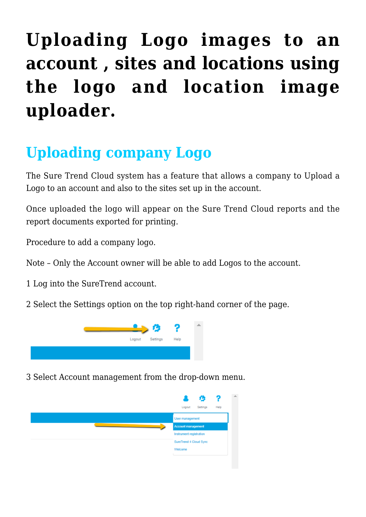# **[Uploading Logo images to an](https://help.hygiena.com/kb-doc/uploading-logo-images-to-an-account-sites-and-locations-using-the-logo-and-location-image-uploader/) [account , sites and locations using](https://help.hygiena.com/kb-doc/uploading-logo-images-to-an-account-sites-and-locations-using-the-logo-and-location-image-uploader/) [the logo and location image](https://help.hygiena.com/kb-doc/uploading-logo-images-to-an-account-sites-and-locations-using-the-logo-and-location-image-uploader/) [uploader.](https://help.hygiena.com/kb-doc/uploading-logo-images-to-an-account-sites-and-locations-using-the-logo-and-location-image-uploader/)**

# **Uploading company Logo**

The Sure Trend Cloud system has a feature that allows a company to Upload a Logo to an account and also to the sites set up in the account.

Once uploaded the logo will appear on the Sure Trend Cloud reports and the report documents exported for printing.

Procedure to add a company logo.

Note – Only the Account owner will be able to add Logos to the account.

- 1 Log into the SureTrend account.
- 2 Select the Settings option on the top right-hand corner of the page.



3 Select Account management from the drop-down menu.

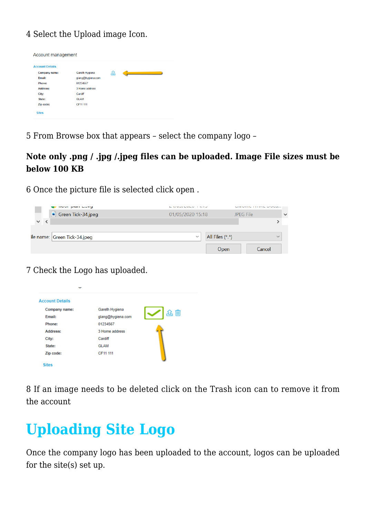### 4 Select the Upload image Icon.

| <b>Account Details</b> |                   |   |
|------------------------|-------------------|---|
| Company name:          | Gareth Hygiena    | 砼 |
| Email:                 | glang@hygiena.com |   |
| Phone:                 | 01234567          |   |
| Address:               | 3 Home address    |   |
| City:                  | Cardiff           |   |
| State:                 | <b>GLAM</b>       |   |
| Zip code:              | CF11 111          |   |

5 From Browse box that appears – select the company logo –

### **Note only .png / .jpg /.jpeg files can be uploaded. Image File sizes must be below 100 KB**

6 Once the picture file is selected click open .

|   | <b>A</b> moor him mark       | $L$ is a set $L$ and $L$ and $L$ and $L$ and $L$ and $L$ and $L$ and $L$ and $L$ and $L$ and $L$ and $L$ and $L$ and $L$ and $L$ and $L$ and $L$ and $L$ and $L$ and $L$ and $L$ and $L$ and $L$ and $L$ and $L$ and $L$ and |                 | Not think the thing of the theory of the state of the state of the state of the state of the state of the state of the |              |
|---|------------------------------|------------------------------------------------------------------------------------------------------------------------------------------------------------------------------------------------------------------------------|-----------------|------------------------------------------------------------------------------------------------------------------------|--------------|
|   | Green Tick-34.jpeg<br>×      | 01/05/2020 15:18                                                                                                                                                                                                             |                 | <b>JPEG File</b>                                                                                                       | $\checkmark$ |
| v |                              |                                                                                                                                                                                                                              |                 |                                                                                                                        |              |
|   |                              |                                                                                                                                                                                                                              |                 |                                                                                                                        |              |
|   | ile name: Green Tick-34.jpeg | $\checkmark$                                                                                                                                                                                                                 | All Files (*.*) |                                                                                                                        | $\checkmark$ |
|   |                              |                                                                                                                                                                                                                              | Open            | Cancel                                                                                                                 |              |

7 Check the Logo has uploaded.

| <b>Account Details</b> |                   |    |
|------------------------|-------------------|----|
| Company name:          | Gareth Hygiena    |    |
| Email:                 | glang@hygiena.com | 企血 |
| Phone:                 | 01234567          |    |
| Address:               | 3 Home address    |    |
| City:                  | Cardiff           |    |
| State:                 | <b>GLAM</b>       |    |
| Zip code:              | CF11 111          |    |

8 If an image needs to be deleted click on the Trash icon can to remove it from the account

## **Uploading Site Logo**

Once the company logo has been uploaded to the account, logos can be uploaded for the site(s) set up.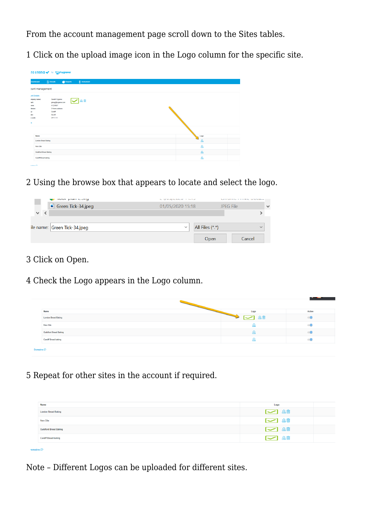From the account management page scroll down to the Sites tables.

1 Click on the upload image icon in the Logo column for the specific site.

|                      | $R$ Results<br>Reports<br>$\blacksquare$ Instrument |
|----------------------|-----------------------------------------------------|
| bunt management      |                                                     |
| <b>unt Details</b>   |                                                     |
| mpany name:<br>vail: | Gareth Hygiena<br>公面<br>glang@hygiena.com           |
| one:<br>dress:       | 01234567<br>3 Home address                          |
| y:                   | Cardiff                                             |
| step<br>» code:      | <b>GLAM</b><br>CF11 111                             |
|                      |                                                     |
|                      |                                                     |
|                      |                                                     |
| <b>is</b><br>Name    |                                                     |
|                      | London Bread Baking                                 |
| New Site             |                                                     |
|                      | <b>Guildford Bread Baking</b>                       |

#### 2 Using the browse box that appears to locate and select the logo.

|                                   | $\bullet$ noor plan marg      | $L$ is the second control of $L$ in the second control of $L$ |                   | Saturday to the terms of session |              |
|-----------------------------------|-------------------------------|---------------------------------------------------------------|-------------------|----------------------------------|--------------|
|                                   | Green Tick-34.jpeg            | 01/05/2020 15:18                                              |                   | JPEG File                        | $\checkmark$ |
| $\overline{\mathbf{C}}$<br>$\vee$ |                               |                                                               |                   |                                  |              |
|                                   |                               |                                                               |                   |                                  |              |
|                                   | ile name:  Green Tick-34.jpeg | $\checkmark$                                                  | All Files $(*.*)$ |                                  | $\checkmark$ |
|                                   |                               |                                                               | Open              | Cancel                           |              |

#### 3 Click on Open.

 $omains$ 

4 Check the Logo appears in the Logo column.

| Name                          | Logo | Active |
|-------------------------------|------|--------|
| <b>London Bread Baking</b>    | 企血   |        |
| <b>New Site</b>               | ᄮ    |        |
| <b>Guildford Bread Baking</b> |      |        |
| Cardiff Bread baking          |      |        |
| Domains <sup>1</sup>          |      |        |

5 Repeat for other sites in the account if required.

| Name                          | Logo                   |
|-------------------------------|------------------------|
| <b>London Bread Baking</b>    | $\sim$ $\frac{20}{20}$ |
| New Site                      | $\sim$ 20              |
| <b>Guildford Bread Baking</b> | $\sim$ $\frac{20}{20}$ |
| <b>Cardiff Bread baking</b>   | $\sim$ 20              |

Note – Different Logos can be uploaded for different sites.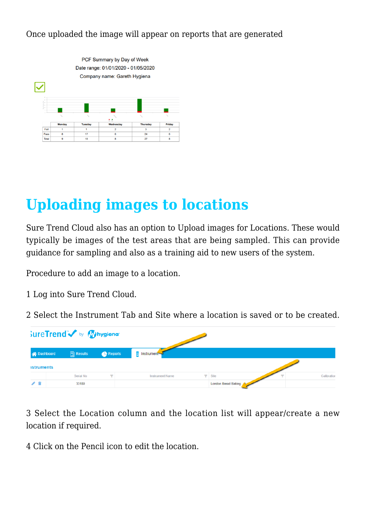#### Once uploaded the image will appear on reports that are generated



### **Uploading images to locations**

Sure Trend Cloud also has an option to Upload images for Locations. These would typically be images of the test areas that are being sampled. This can provide guidance for sampling and also as a training aid to new users of the system.

Procedure to add an image to a location.

- 1 Log into Sure Trend Cloud.
- 2 Select the Instrument Tab and Site where a location is saved or to be created.

| SureTrend by Mysiena |  |                     |                |                        |                                          |
|----------------------|--|---------------------|----------------|------------------------|------------------------------------------|
| A Dashboard          |  | $\boxed{5}$ Results | <b>Reports</b> | 目<br>Instrument        |                                          |
| <b>istruments</b>    |  |                     |                |                        |                                          |
|                      |  | Serial No           |                | <b>Instrument Name</b> | Calibration<br>$\blacktriangledown$ Site |
| ╱ 1                  |  | 33180               |                |                        | London Bread Baking                      |

3 Select the Location column and the location list will appear/create a new location if required.

4 Click on the Pencil icon to edit the location.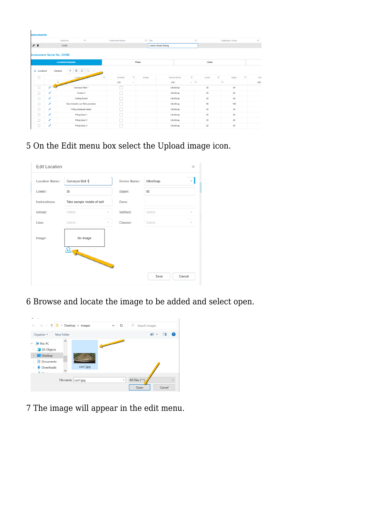| <b>nstruments</b>  |   |                                      |                         |                                    |       |                           |                            |                                        |                         |                         |                          |                                |
|--------------------|---|--------------------------------------|-------------------------|------------------------------------|-------|---------------------------|----------------------------|----------------------------------------|-------------------------|-------------------------|--------------------------|--------------------------------|
|                    |   | Serial No<br>$\overline{\mathbf{Y}}$ |                         | <b>Instrument Name</b>             |       | $\blacktriangledown$ Site |                            |                                        | $\overline{\mathbf{v}}$ |                         | <b>Calibration Check</b> | $\overline{\mathbf{v}}$        |
| / ≘                |   | 33180                                |                         |                                    |       |                           | <b>London Bread Baking</b> |                                        |                         |                         |                          |                                |
|                    |   | <b>Instrument Serial No: 33180</b>   |                         |                                    |       |                           |                            |                                        |                         |                         |                          |                                |
|                    |   | <b>Locations/Samples</b>             |                         |                                    | Plans |                           |                            |                                        | <b>Users</b>            |                         |                          |                                |
| <b>C</b> Locations |   | $+$ $+$ $+$<br>Samples               |                         |                                    |       |                           |                            |                                        |                         |                         |                          |                                |
| □                  |   | Location                             | $\overline{\mathbf{v}}$ | $\overline{\mathbf{y}}$<br>Exclude | Image |                           |                            | $\overline{\mathbf{r}}$<br>Device Name | Lower                   | $\overline{\mathbf{Y}}$ | Upper                    | $\overline{\mathbf{r}}$<br>Gro |
|                    |   | $\mathsf Q$                          |                         | (AII)<br>$\;$                      |       |                           | (AID)                      | $ Q$                                   |                         |                         | $\alpha$                 | (AII)                          |
| $\Box$             |   | Conveyor Belt 1                      |                         |                                    |       |                           |                            | UltraSnap                              | 30                      |                         | 80                       |                                |
| $\Box$             | v | Cooker 3                             |                         |                                    |       |                           |                            | UltraSnap                              | 20                      |                         | 60                       |                                |
| $\Box$             | v | Cutting Board                        |                         |                                    |       |                           |                            | UltraSnap                              | 20                      |                         | 60                       |                                |
| $\Box$             | v | Door Handle Low Risk prodution       |                         |                                    |       |                           |                            | UltraSnap                              | 50                      |                         | 100                      |                                |
| $\Box$             | v | Filling dispense heads               |                         |                                    |       |                           |                            | UltraSnap                              | 20                      |                         | 40                       |                                |
| $\Box$             | v | Filling head 1                       |                         |                                    |       |                           |                            | UltraSnap                              | 20                      |                         | 60                       |                                |
| $\Box$             | ∕ | Filling head 2                       |                         |                                    |       |                           |                            | UltraSnap                              | 20                      |                         | 60                       |                                |
| $\Box$             | ∕ | Filling head 3                       |                         |                                    |       |                           |                            | UltraSnap                              | 20                      |                         | 60                       |                                |

5 On the Edit menu box select the Upload image icon.

| <b>Edit Location</b> |                            |                          |              |           | $\times$ |
|----------------------|----------------------------|--------------------------|--------------|-----------|----------|
| Location Name:       | Conveyor Belt 1            |                          | Device Name: | UltraSnap |          |
| Lower:               | 30                         |                          | Upper:       | 80        |          |
| Instructions:        | Take sample middle of belt |                          | Zone:        |           |          |
| Group:               | Select                     | $\overline{\phantom{a}}$ | Surface:     | Select    |          |
| Line:                | Select                     |                          | Cleaner:     | Select    |          |
| Image:               | No Image                   |                          |              |           |          |
|                      | $\frac{1}{2}$              |                          |              |           |          |
|                      |                            |                          |              | Save      | Cancel   |

6 Browse and locate the image to be added and select open.



7 The image will appear in the edit menu.